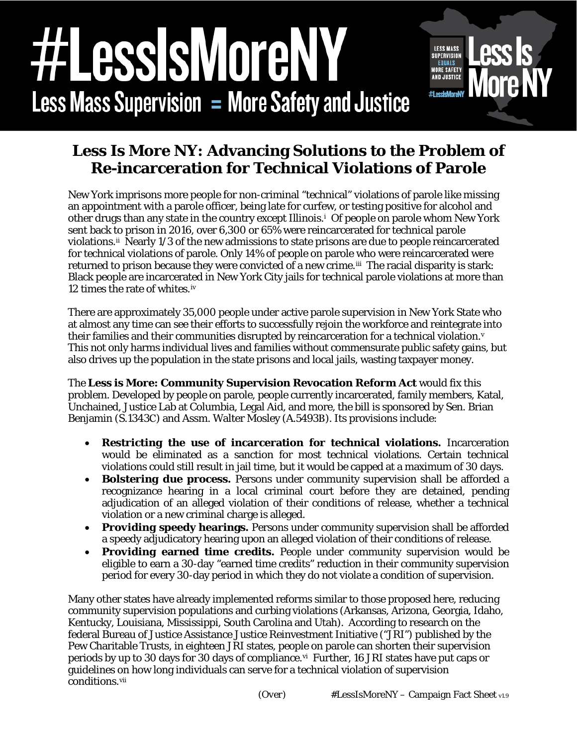## essisMoreN **LESS MASS SUPERVISION** EQUALS **MORE SAFETY**<br>AND JUSTICE **#1 occleMorp Less Mass Supervision = More Safety and Justice**

## **Less Is More NY: Advancing Solutions to the Problem of Re-incarceration for Technical Violations of Parole**

New York imprisons more people for non-criminal "technical" violations of parole like missing an appointment with a parole officer, being late for curfew, or testing positive for alcohol and other drugs than any state in the country except Illinois.[i](#page-1-0) Of people on parole whom New York sent back to prison in 2016, over 6,300 or 65% were reincarcerated for technical parole violations.[ii](#page-1-1) Nearly 1/3 of the new admissions to state prisons are due to people reincarcerated for technical violations of parole. Only 14% of people on parole who were reincarcerated were returned to prison because they were convicted of a new crime.<sup>[iii](#page-1-2)</sup> The racial disparity is stark: Black people are incarcerated in New York City jails for technical parole violations at more than 12 times the rate of whites.[iv](#page-1-3)

There are approximately 35,000 people under active parole supervision in New York State who at almost any time can see their efforts to successfully rejoin the workforce and reintegrate into their families and their communities disrupted by reincarceration for a technical [v](#page-1-4)iolation. $v$ This not only harms individual lives and families without commensurate public safety gains, but also drives up the population in the state prisons and local jails, wasting taxpayer money.

The **Less is More: Community Supervision Revocation Reform Act** would fix this problem. Developed by people on parole, people currently incarcerated, family members, Katal, Unchained, Justice Lab at Columbia, Legal Aid, and more, the bill is sponsored by Sen. Brian Benjamin (S.1343C) and Assm. Walter Mosley (A.5493B). Its provisions include:

- *Restricting* **the use of incarceration for technical violations.** Incarceration would be eliminated as a sanction for most technical violations. Certain technical violations could still result in jail time, but it would be capped at a maximum of 30 days.
- *Bolstering* **due process.** Persons under community supervision shall be afforded a recognizance hearing in a local criminal court before they are detained, pending adjudication of an alleged violation of their conditions of release, whether a technical violation or a new criminal charge is alleged.
- *Providing* **speedy hearings.** Persons under community supervision shall be afforded a speedy adjudicatory hearing upon an alleged violation of their conditions of release.
- *Providing* **earned time credits.** People under community supervision would be eligible to earn a 30-day "earned time credits" reduction in their community supervision period for every 30-day period in which they do not violate a condition of supervision.

Many other states have already implemented reforms similar to those proposed here, reducing community supervision populations and curbing violations (Arkansas, Arizona, Georgia, Idaho, Kentucky, Louisiana, Mississippi, South Carolina and Utah). According to research on the federal Bureau of Justice Assistance Justice Reinvestment Initiative ("JRI") published by the Pew Charitable Trusts, in eighteen JRI states, people on parole can shorten their supervision periods by up to 30 days for 30 days of compliance.<sup>vi</sup> Further, 16 JRI states have put caps or guidelines on how long individuals can serve for a technical violation of supervision conditions.[vii](#page-1-6)